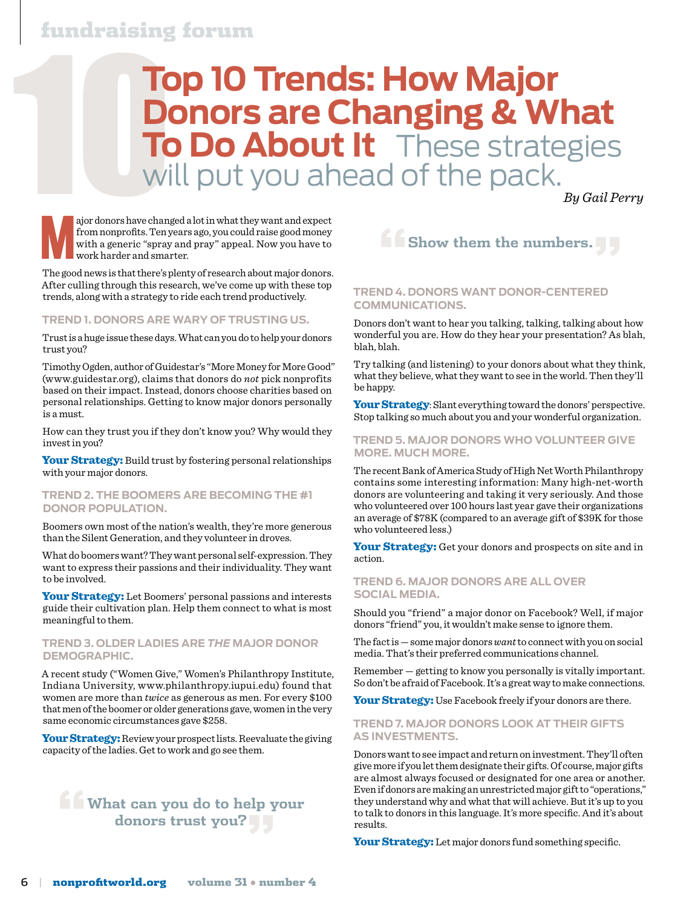## fundraising forum

## **10 Trends: How Major<br>
Donors are Changing & WI<br>
To Do About It These strate<br>
Will put you ahead of the pack. Donors are Changing & What To Do About It** These strategies will put you ahead of the pack.

 *By Gail Perry*

ajor donors have changed a lot in what they want and expect<br>from nonprofits. Ten years ago, you could raise good money<br>with a generic "spray and pray" appeal. Now you have to<br>work harder and smarter. from nonprofits. Ten years ago, you could raise good money with a generic "spray and pray" appeal. Now you have to work harder and smarter.

The good news is that there's plenty of research about major donors. After culling through this research, we've come up with these top trends, along with a strategy to ride each trend productively.

#### **Trend 1. Donors are wary of trusting us.**

Trust is a huge issue these days. What can you do to help your donors trust you?

Timothy Ogden, author of Guidestar's "More Money for More Good" (www.guidestar.org), claims that donors do *not* pick nonprofits based on their impact. Instead, donors choose charities based on personal relationships. Getting to know major donors personally is a must.

How can they trust you if they don't know you? Why would they invest in you?

Your Strategy: Build trust by fostering personal relationships with your major donors.

#### **Trend 2. The Boomers are becoming the #1 donor population.**

Boomers own most of the nation's wealth, they're more generous than the Silent Generation, and they volunteer in droves.

What do boomers want? They want personal self-expression. They want to express their passions and their individuality. They want to be involved.

Your Strategy: Let Boomers' personal passions and interests guide their cultivation plan. Help them connect to what is most meaningful to them.

#### **Trend 3. Older ladies are** *the* **major donor demographic.**

A recent study ("Women Give," Women's Philanthropy Institute, Indiana University, www.philanthropy.iupui.edu) found that women are more than *twice* as generous as men. For every \$100 that men of the boomer or older generations gave, women in the very same economic circumstances gave \$258.

Your Strategy: Review your prospect lists. Reevaluate the giving capacity of the ladies. Get to work and go see them.

### **"What can you do to help your donors trust you?"**



#### **Trend 4. Donors want donor-centered communications.**

Donors don't want to hear you talking, talking, talking about how wonderful you are. How do they hear your presentation? As blah, blah, blah.

Try talking (and listening) to your donors about what they think, what they believe, what they want to see in the world. Then they'll be happy.

Your Strategy: Slant everything toward the donors' perspective. Stop talking so much about you and your wonderful organization.

#### **Trend 5. Major donors who volunteer give more. Much more.**

The recent Bank of America Study of High Net Worth Philanthropy contains some interesting information: Many high-net-worth donors are volunteering and taking it very seriously. And those who volunteered over 100 hours last year gave their organizations an average of \$78K (compared to an average gift of \$39K for those who volunteered less.)

Your Strategy: Get your donors and prospects on site and in action.

#### **Trend 6. Major donors are all over social media.**

Should you "friend" a major donor on Facebook? Well, if major donors "friend" you, it wouldn't make sense to ignore them.

The fact is — some major donors *want* to connect with you on social media. That's their preferred communications channel.

Remember — getting to know you personally is vitally important. So don't be afraid of Facebook. It's a great way to make connections.

Your Strategy: Use Facebook freely if your donors are there.

#### **Trend 7. Major donors look at their gifts as investments.**

Donors want to see impact and return on investment. They'll often give more if you let them designate their gifts. Of course, major gifts are almost always focused or designated for one area or another. Even if donors are making an unrestricted major gift to "operations," they understand why and what that will achieve. But it's up to you to talk to donors in this language. It's more specific. And it's about results.

Your Strategy: Let major donors fund something specific.